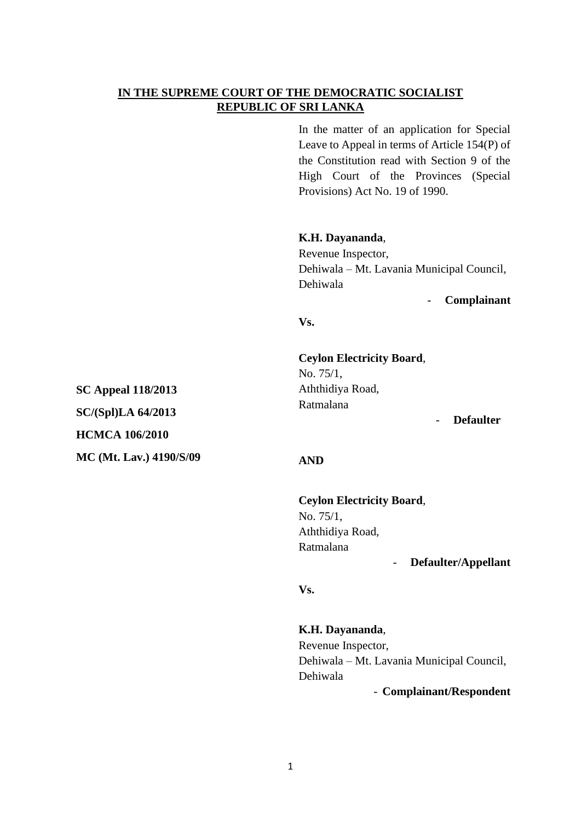# **IN THE SUPREME COURT OF THE DEMOCRATIC SOCIALIST REPUBLIC OF SRI LANKA**

In the matter of an application for Special Leave to Appeal in terms of Article 154(P) of the Constitution read with Section 9 of the High Court of the Provinces (Special Provisions) Act No. 19 of 1990.

**K.H. Dayananda**,

Revenue Inspector, Dehiwala – Mt. Lavania Municipal Council, Dehiwala

- **Complainant**

**Vs.**

**Ceylon Electricity Board**, No. 75/1, Aththidiya Road, Ratmalana

- **Defaulter**

### **AND**

**Ceylon Electricity Board**, No. 75/1, Aththidiya Road, Ratmalana - **Defaulter/Appellant** 

**Vs.**

**K.H. Dayananda**, Revenue Inspector, Dehiwala – Mt. Lavania Municipal Council, Dehiwala

- **Complainant/Respondent**

**SC Appeal 118/2013 SC/(Spl)LA 64/2013 HCMCA 106/2010 MC (Mt. Lav.) 4190/S/09**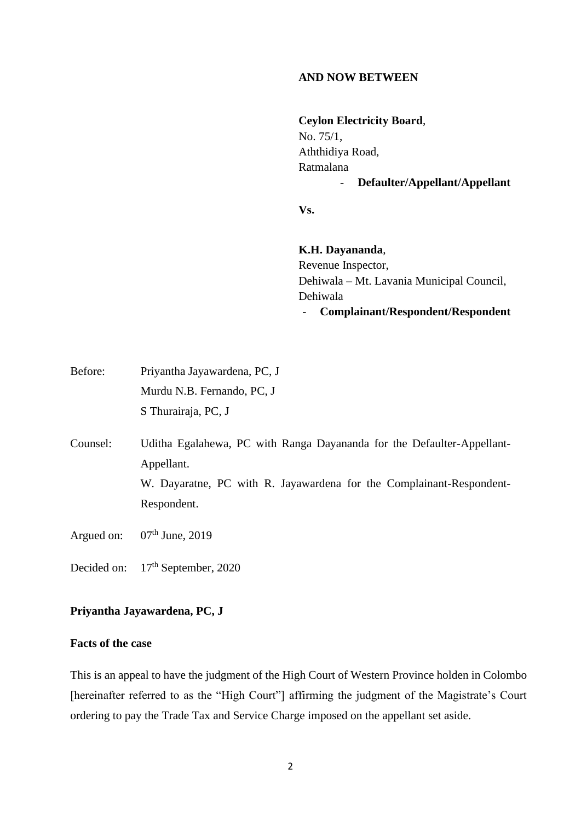## **AND NOW BETWEEN**

**Ceylon Electricity Board**, No. 75/1, Aththidiya Road, Ratmalana - **Defaulter/Appellant/Appellant**

**Vs.**

**K.H. Dayananda**, Revenue Inspector, Dehiwala – Mt. Lavania Municipal Council, Dehiwala - **Complainant/Respondent/Respondent**

| Before: | Priyantha Jayawardena, PC, J |
|---------|------------------------------|
|         | Murdu N.B. Fernando, PC, J   |
|         | S Thurairaja, PC, J          |

Counsel: Uditha Egalahewa, PC with Ranga Dayananda for the Defaulter-Appellant-Appellant. W. Dayaratne, PC with R. Jayawardena for the Complainant-Respondent-Respondent.

Argued on:  $07<sup>th</sup>$  June, 2019

Decided on: 17<sup>th</sup> September, 2020

# **Priyantha Jayawardena, PC, J**

## **Facts of the case**

This is an appeal to have the judgment of the High Court of Western Province holden in Colombo [hereinafter referred to as the "High Court"] affirming the judgment of the Magistrate's Court ordering to pay the Trade Tax and Service Charge imposed on the appellant set aside.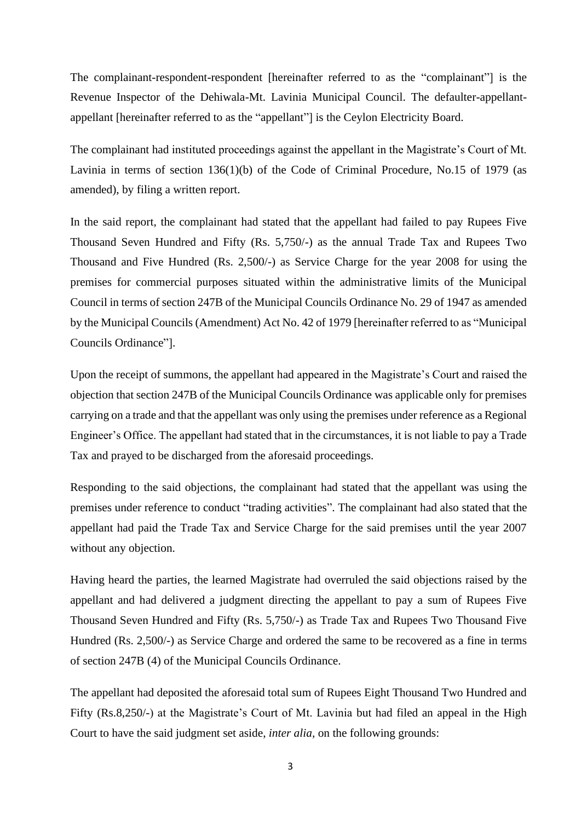The complainant-respondent-respondent [hereinafter referred to as the "complainant"] is the Revenue Inspector of the Dehiwala-Mt. Lavinia Municipal Council. The defaulter-appellantappellant [hereinafter referred to as the "appellant"] is the Ceylon Electricity Board.

The complainant had instituted proceedings against the appellant in the Magistrate's Court of Mt. Lavinia in terms of section 136(1)(b) of the Code of Criminal Procedure, No.15 of 1979 (as amended), by filing a written report.

In the said report, the complainant had stated that the appellant had failed to pay Rupees Five Thousand Seven Hundred and Fifty (Rs. 5,750/-) as the annual Trade Tax and Rupees Two Thousand and Five Hundred (Rs. 2,500/-) as Service Charge for the year 2008 for using the premises for commercial purposes situated within the administrative limits of the Municipal Council in terms of section 247B of the Municipal Councils Ordinance No. 29 of 1947 as amended by the Municipal Councils (Amendment) Act No. 42 of 1979 [hereinafter referred to as "Municipal Councils Ordinance"].

Upon the receipt of summons, the appellant had appeared in the Magistrate's Court and raised the objection that section 247B of the Municipal Councils Ordinance was applicable only for premises carrying on a trade and that the appellant was only using the premises under reference as a Regional Engineer's Office. The appellant had stated that in the circumstances, it is not liable to pay a Trade Tax and prayed to be discharged from the aforesaid proceedings.

Responding to the said objections, the complainant had stated that the appellant was using the premises under reference to conduct "trading activities". The complainant had also stated that the appellant had paid the Trade Tax and Service Charge for the said premises until the year 2007 without any objection.

Having heard the parties, the learned Magistrate had overruled the said objections raised by the appellant and had delivered a judgment directing the appellant to pay a sum of Rupees Five Thousand Seven Hundred and Fifty (Rs. 5,750/-) as Trade Tax and Rupees Two Thousand Five Hundred (Rs. 2,500/-) as Service Charge and ordered the same to be recovered as a fine in terms of section 247B (4) of the Municipal Councils Ordinance.

The appellant had deposited the aforesaid total sum of Rupees Eight Thousand Two Hundred and Fifty (Rs.8,250/-) at the Magistrate's Court of Mt. Lavinia but had filed an appeal in the High Court to have the said judgment set aside, *inter alia,* on the following grounds: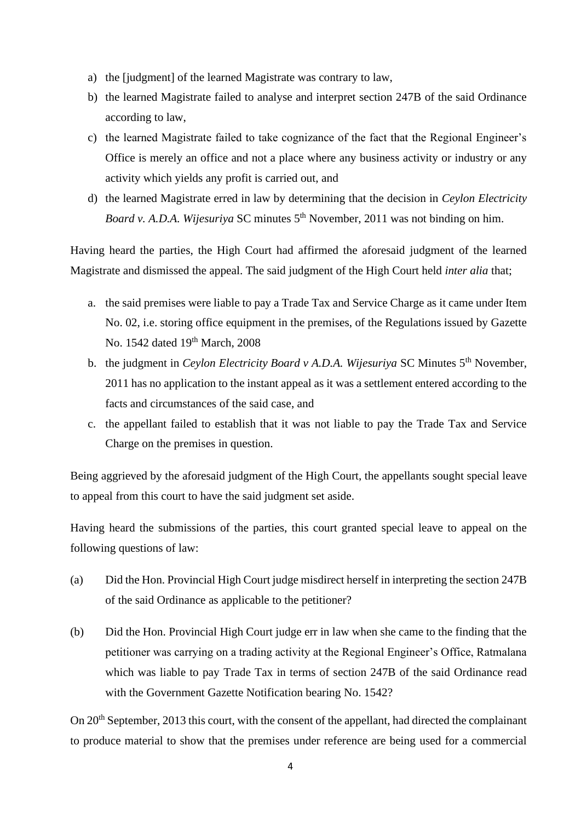- a) the [judgment] of the learned Magistrate was contrary to law,
- b) the learned Magistrate failed to analyse and interpret section 247B of the said Ordinance according to law,
- c) the learned Magistrate failed to take cognizance of the fact that the Regional Engineer's Office is merely an office and not a place where any business activity or industry or any activity which yields any profit is carried out, and
- d) the learned Magistrate erred in law by determining that the decision in *Ceylon Electricity Board v. A.D.A. Wijesuriya* SC minutes 5<sup>th</sup> November, 2011 was not binding on him.

Having heard the parties, the High Court had affirmed the aforesaid judgment of the learned Magistrate and dismissed the appeal. The said judgment of the High Court held *inter alia* that;

- a. the said premises were liable to pay a Trade Tax and Service Charge as it came under Item No. 02, i.e. storing office equipment in the premises, of the Regulations issued by Gazette No. 1542 dated 19<sup>th</sup> March, 2008
- b. the judgment in *Ceylon Electricity Board v A.D.A. Wijesuriya* SC Minutes 5th November, 2011 has no application to the instant appeal as it was a settlement entered according to the facts and circumstances of the said case, and
- c. the appellant failed to establish that it was not liable to pay the Trade Tax and Service Charge on the premises in question.

Being aggrieved by the aforesaid judgment of the High Court, the appellants sought special leave to appeal from this court to have the said judgment set aside.

Having heard the submissions of the parties, this court granted special leave to appeal on the following questions of law:

- (a) Did the Hon. Provincial High Court judge misdirect herself in interpreting the section 247B of the said Ordinance as applicable to the petitioner?
- (b) Did the Hon. Provincial High Court judge err in law when she came to the finding that the petitioner was carrying on a trading activity at the Regional Engineer's Office, Ratmalana which was liable to pay Trade Tax in terms of section 247B of the said Ordinance read with the Government Gazette Notification bearing No. 1542?

On 20<sup>th</sup> September, 2013 this court, with the consent of the appellant, had directed the complainant to produce material to show that the premises under reference are being used for a commercial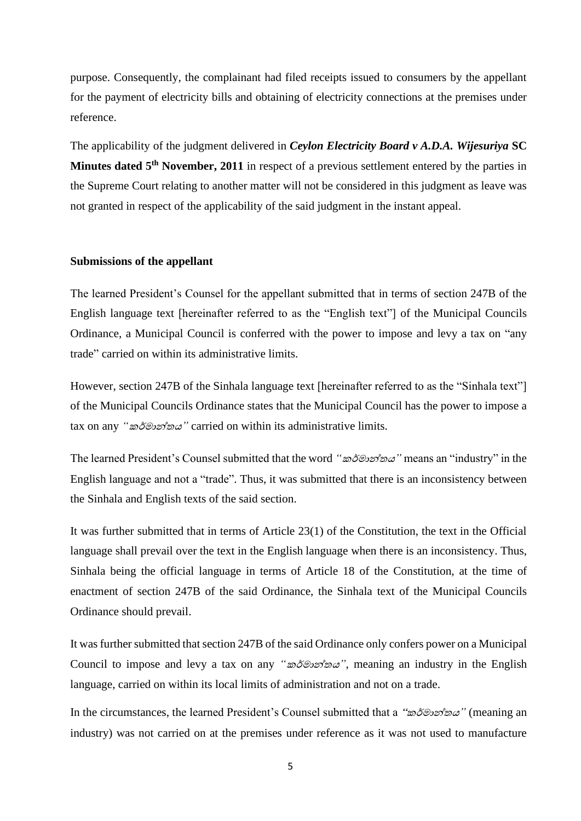purpose. Consequently, the complainant had filed receipts issued to consumers by the appellant for the payment of electricity bills and obtaining of electricity connections at the premises under reference.

The applicability of the judgment delivered in *Ceylon Electricity Board v A.D.A. Wijesuriya* **SC Minutes dated 5th November, 2011** in respect of a previous settlement entered by the parties in the Supreme Court relating to another matter will not be considered in this judgment as leave was not granted in respect of the applicability of the said judgment in the instant appeal.

#### **Submissions of the appellant**

The learned President's Counsel for the appellant submitted that in terms of section 247B of the English language text [hereinafter referred to as the "English text"] of the Municipal Councils Ordinance, a Municipal Council is conferred with the power to impose and levy a tax on "any trade" carried on within its administrative limits.

However, section 247B of the Sinhala language text [hereinafter referred to as the "Sinhala text"] of the Municipal Councils Ordinance states that the Municipal Council has the power to impose a tax on any *"*කර්මාන්තය*"* carried on within its administrative limits.

The learned President's Counsel submitted that the word *"*කර්මාන්තය*"* means an "industry" in the English language and not a "trade". Thus, it was submitted that there is an inconsistency between the Sinhala and English texts of the said section.

It was further submitted that in terms of Article 23(1) of the Constitution, the text in the Official language shall prevail over the text in the English language when there is an inconsistency. Thus, Sinhala being the official language in terms of Article 18 of the Constitution, at the time of enactment of section 247B of the said Ordinance, the Sinhala text of the Municipal Councils Ordinance should prevail.

It was further submitted that section 247B of the said Ordinance only confers power on a Municipal Council to impose and levy a tax on any *"*කර්මාන්තය*"*, meaning an industry in the English language, carried on within its local limits of administration and not on a trade.

In the circumstances, the learned President's Counsel submitted that a "කර්මාන්තය*"* (meaning an industry) was not carried on at the premises under reference as it was not used to manufacture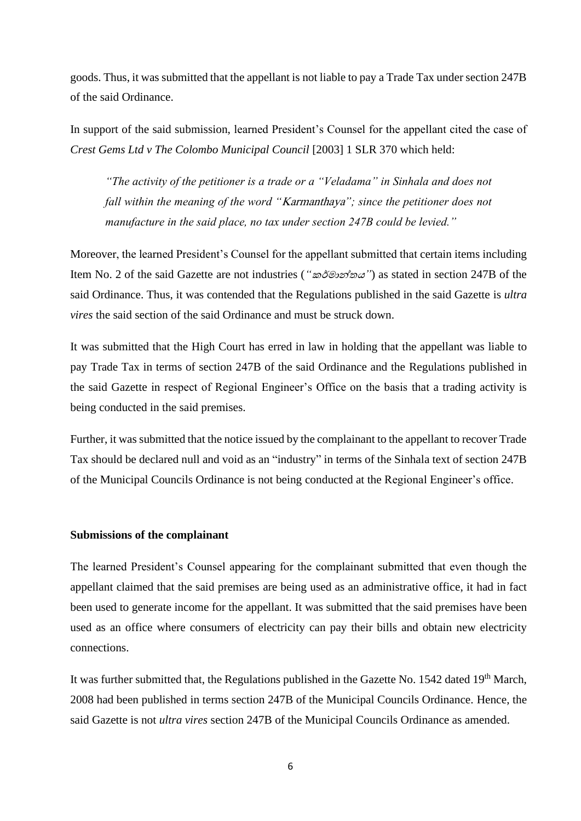goods. Thus, it was submitted that the appellant is not liable to pay a Trade Tax under section 247B of the said Ordinance.

In support of the said submission, learned President's Counsel for the appellant cited the case of *Crest Gems Ltd v The Colombo Municipal Council* [2003] 1 SLR 370 which held:

*"The activity of the petitioner is a trade or a "Veladama" in Sinhala and does not fall within the meaning of the word "*Karmanthaya*"; since the petitioner does not manufacture in the said place, no tax under section 247B could be levied."*

Moreover, the learned President's Counsel for the appellant submitted that certain items including Item No. 2 of the said Gazette are not industries (*"*කර්මාන්තය*"*) as stated in section 247B of the said Ordinance. Thus, it was contended that the Regulations published in the said Gazette is *ultra vires* the said section of the said Ordinance and must be struck down.

It was submitted that the High Court has erred in law in holding that the appellant was liable to pay Trade Tax in terms of section 247B of the said Ordinance and the Regulations published in the said Gazette in respect of Regional Engineer's Office on the basis that a trading activity is being conducted in the said premises.

Further, it was submitted that the notice issued by the complainant to the appellant to recover Trade Tax should be declared null and void as an "industry" in terms of the Sinhala text of section 247B of the Municipal Councils Ordinance is not being conducted at the Regional Engineer's office.

#### **Submissions of the complainant**

The learned President's Counsel appearing for the complainant submitted that even though the appellant claimed that the said premises are being used as an administrative office, it had in fact been used to generate income for the appellant. It was submitted that the said premises have been used as an office where consumers of electricity can pay their bills and obtain new electricity connections.

It was further submitted that, the Regulations published in the Gazette No. 1542 dated 19<sup>th</sup> March, 2008 had been published in terms section 247B of the Municipal Councils Ordinance. Hence, the said Gazette is not *ultra vires* section 247B of the Municipal Councils Ordinance as amended.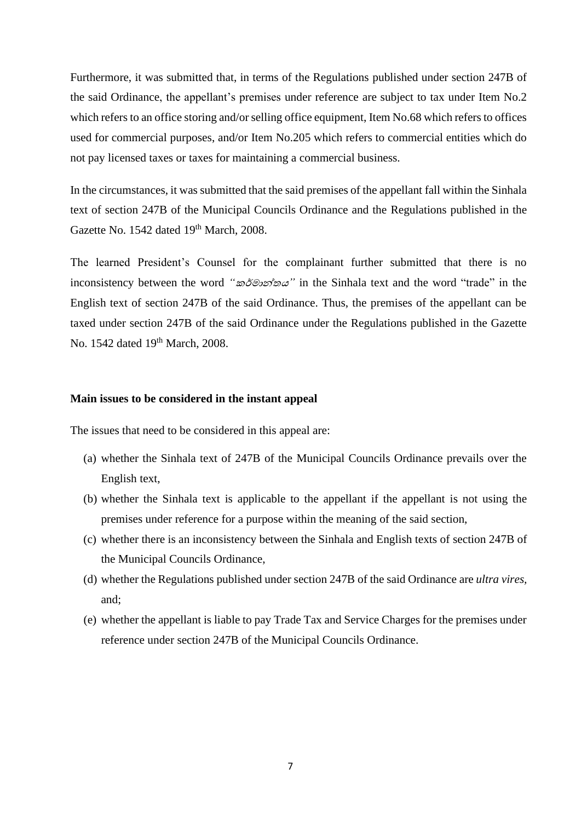Furthermore, it was submitted that, in terms of the Regulations published under section 247B of the said Ordinance, the appellant's premises under reference are subject to tax under Item No.2 which refers to an office storing and/or selling office equipment, Item No.68 which refers to offices used for commercial purposes, and/or Item No.205 which refers to commercial entities which do not pay licensed taxes or taxes for maintaining a commercial business.

In the circumstances, it was submitted that the said premises of the appellant fall within the Sinhala text of section 247B of the Municipal Councils Ordinance and the Regulations published in the Gazette No. 1542 dated 19<sup>th</sup> March, 2008.

The learned President's Counsel for the complainant further submitted that there is no inconsistency between the word *"*කර්මාන්තය*"* in the Sinhala text and the word "trade" in the English text of section 247B of the said Ordinance. Thus, the premises of the appellant can be taxed under section 247B of the said Ordinance under the Regulations published in the Gazette No. 1542 dated 19<sup>th</sup> March, 2008.

#### **Main issues to be considered in the instant appeal**

The issues that need to be considered in this appeal are:

- (a) whether the Sinhala text of 247B of the Municipal Councils Ordinance prevails over the English text,
- (b) whether the Sinhala text is applicable to the appellant if the appellant is not using the premises under reference for a purpose within the meaning of the said section,
- (c) whether there is an inconsistency between the Sinhala and English texts of section 247B of the Municipal Councils Ordinance,
- (d) whether the Regulations published under section 247B of the said Ordinance are *ultra vires,*  and;
- (e) whether the appellant is liable to pay Trade Tax and Service Charges for the premises under reference under section 247B of the Municipal Councils Ordinance.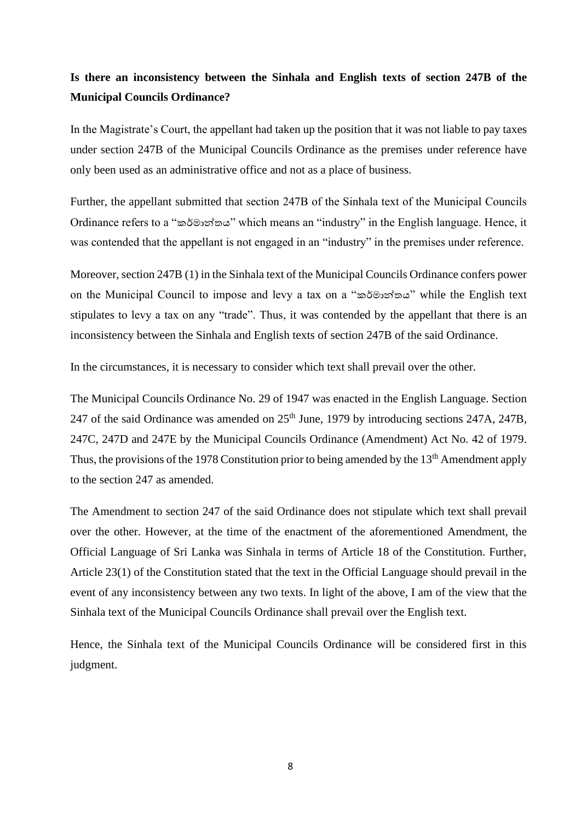# **Is there an inconsistency between the Sinhala and English texts of section 247B of the Municipal Councils Ordinance?**

In the Magistrate's Court, the appellant had taken up the position that it was not liable to pay taxes under section 247B of the Municipal Councils Ordinance as the premises under reference have only been used as an administrative office and not as a place of business.

Further, the appellant submitted that section 247B of the Sinhala text of the Municipal Councils Ordinance refers to a "කර්මාන්තය" which means an "industry" in the English language. Hence, it was contended that the appellant is not engaged in an "industry" in the premises under reference.

Moreover, section 247B (1) in the Sinhala text of the Municipal Councils Ordinance confers power on the Municipal Council to impose and levy a tax on a "කර්මාන්තය" while the English text stipulates to levy a tax on any "trade". Thus, it was contended by the appellant that there is an inconsistency between the Sinhala and English texts of section 247B of the said Ordinance.

In the circumstances, it is necessary to consider which text shall prevail over the other.

The Municipal Councils Ordinance No. 29 of 1947 was enacted in the English Language. Section 247 of the said Ordinance was amended on 25<sup>th</sup> June, 1979 by introducing sections 247A, 247B, 247C, 247D and 247E by the Municipal Councils Ordinance (Amendment) Act No. 42 of 1979. Thus, the provisions of the 1978 Constitution prior to being amended by the  $13<sup>th</sup>$  Amendment apply to the section 247 as amended.

The Amendment to section 247 of the said Ordinance does not stipulate which text shall prevail over the other. However, at the time of the enactment of the aforementioned Amendment, the Official Language of Sri Lanka was Sinhala in terms of Article 18 of the Constitution. Further, Article 23(1) of the Constitution stated that the text in the Official Language should prevail in the event of any inconsistency between any two texts. In light of the above, I am of the view that the Sinhala text of the Municipal Councils Ordinance shall prevail over the English text.

Hence, the Sinhala text of the Municipal Councils Ordinance will be considered first in this judgment.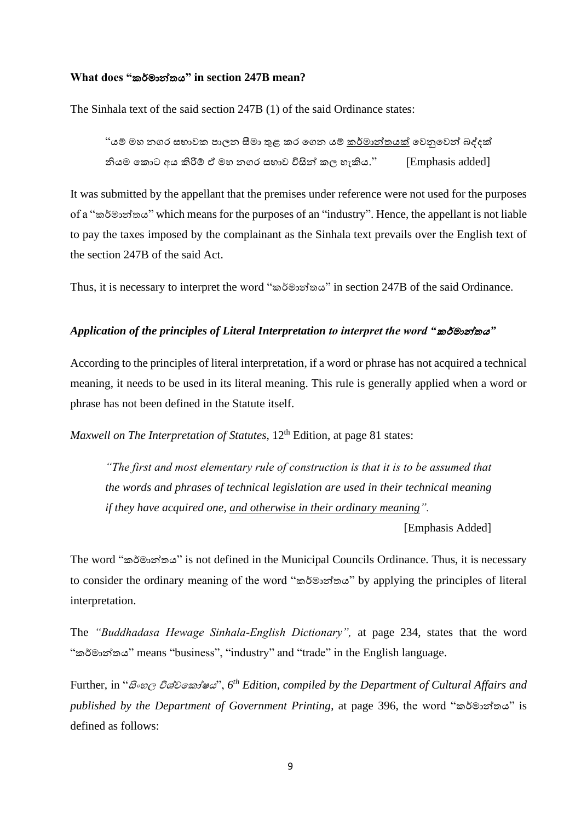#### **What does "**කර්මාන්තය**" in section 247B mean?**

The Sinhala text of the said section 247B (1) of the said Ordinance states:

"යම් මහ නගර සභාවක පාලන සීමා තුළ කර ගගන යම් කර්මාන්තයක් ගවනුගවන් බද්දක් නියම ගකාට අය කිරීම් ඒ මහ නගර සභාව විසින් කල හැකිය." [Emphasis added]

It was submitted by the appellant that the premises under reference were not used for the purposes of a "කර්මාන්තය" which means for the purposes of an "industry". Hence, the appellant is not liable to pay the taxes imposed by the complainant as the Sinhala text prevails over the English text of the section 247B of the said Act.

Thus, it is necessary to interpret the word "කර්මාන්තය" in section 247B of the said Ordinance.

#### *Application of the principles of Literal Interpretation to interpret the word "*කර්මාන්තය*"*

According to the principles of literal interpretation, if a word or phrase has not acquired a technical meaning, it needs to be used in its literal meaning. This rule is generally applied when a word or phrase has not been defined in the Statute itself.

*Maxwell on The Interpretation of Statutes*, 12<sup>th</sup> Edition, at page 81 states:

*"The first and most elementary rule of construction is that it is to be assumed that the words and phrases of technical legislation are used in their technical meaning if they have acquired one, and otherwise in their ordinary meaning".* 

[Emphasis Added]

The word "කර්මාන්තය" is not defined in the Municipal Councils Ordinance. Thus, it is necessary to consider the ordinary meaning of the word "කර්මාන්තය" by applying the principles of literal interpretation.

The *"Buddhadasa Hewage Sinhala-English Dictionary",* at page 234, states that the word "කර්මාන්තය" means "business", "industry" and "trade" in the English language.

Further, in "සිංහල විශ්වගකා්ෂය", 6<sup>th</sup> Edition, compiled by the Department of Cultural Affairs and *published by the Department of Government Printing*, at page 396, the word "කර්මාන්තය" is defined as follows: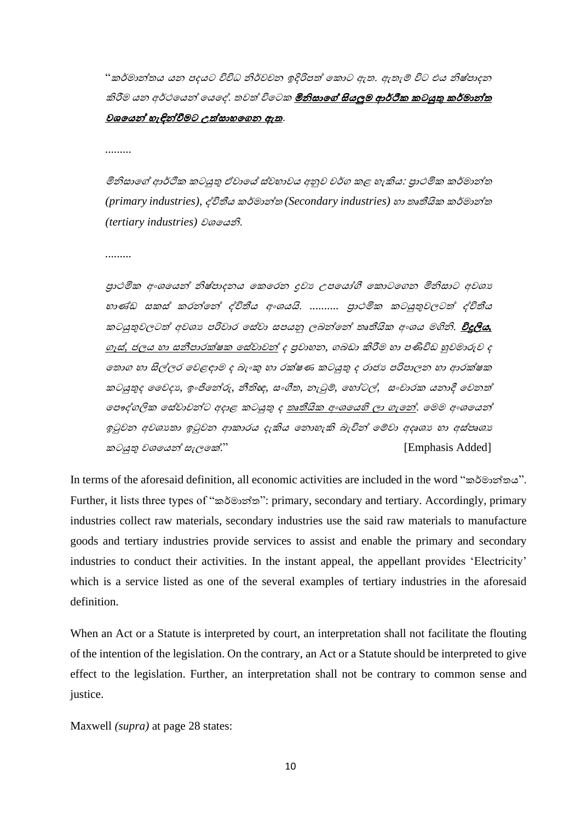"කර්මාන්තය යන පදයට විවිධ නිර්වචන ඉදිරිපත් කොට ඇත. ඇතැම් විට එය නිෂ්පාදන කිරීම යන අර්ථයෙන් යෙදේ. තවත් විටෙක **මිනිසාගේ සියලුම ආර්ථික කටයුතු කර්මාන්ත** වශකයන් හැඳින්ීමට උත්සාහකෙන ඇත.

*.........*

මිනිසාගේ ආර්ථික කටයුතු ඒවායේ ස්වභාවය අනුව වර්ග කළ හැකිය: පුාථමික කර්මාන්ත *(primary industries),* ේවිතීය ර්මාන්ත *(Secondary industries)* හා තෘතීයි ර්මාන්ත *(tertiary industries)* වශකයනි.

*.........* 

පුාථමික අංශයෙන් නිෂ්පාදනය කෙරෙන දවා උපයෝගී කොටගෙන මිනිසාට අවශා භාණ්ඩ සකස් කරන්නේ ද්විතීය අංශයයි. .......... පුාථමික කටයුතුවලටත් ද්විතීය කටයුතුවලටත් අවශා<sub>ප</sub> පරිවාර සේවා සපයනු ලබන්නේ තෘතීයික අංශය මගිනි. <mark>විදුලිය,</mark> ෙෑස්*,* ජලය හා සනීපාෙක්ෂ කස්වාවන් ද ප්රවාහන*,* ෙබඩා කිරීම හා පණිවිඩ හුවමාරුව ද ගතාග හා සිල්ලර වෙළඳාම ද බැංකු හා රක්ෂණ කටයුතු ද රාජා පරිපාලන හා ආරක්ෂක ටයුතුද වවදය*,* ඉිංජිකන්රු*,* නීතිඥ*,* සිංගීත*,* නැටුම්*,* කහෝටල්*,* සිංචාෙ යනාදී කවනත් ලපෟද්ගලික සේවාවන්ට අදාළ කටයුතු ද <u>තෘතීයික අංශයෙහි ලා ගැන</u>ේ. මෙම අංශයෙන් ඉටුවන අවශානා ඉටුවන ආකාරය දැකිය තොහැකි බැවින් මෙවා අදෘශා හා අස්පෘශා කටයුතු වශයෙන් සැලකේ."  $\Box$  [Emphasis Added]

In terms of the aforesaid definition, all economic activities are included in the word "කර්මාන්තය". Further, it lists three types of "කර්මාන්ත": primary, secondary and tertiary. Accordingly, primary industries collect raw materials, secondary industries use the said raw materials to manufacture goods and tertiary industries provide services to assist and enable the primary and secondary industries to conduct their activities. In the instant appeal, the appellant provides 'Electricity' which is a service listed as one of the several examples of tertiary industries in the aforesaid definition.

When an Act or a Statute is interpreted by court, an interpretation shall not facilitate the flouting of the intention of the legislation. On the contrary, an Act or a Statute should be interpreted to give effect to the legislation. Further, an interpretation shall not be contrary to common sense and justice.

Maxwell *(supra)* at page 28 states: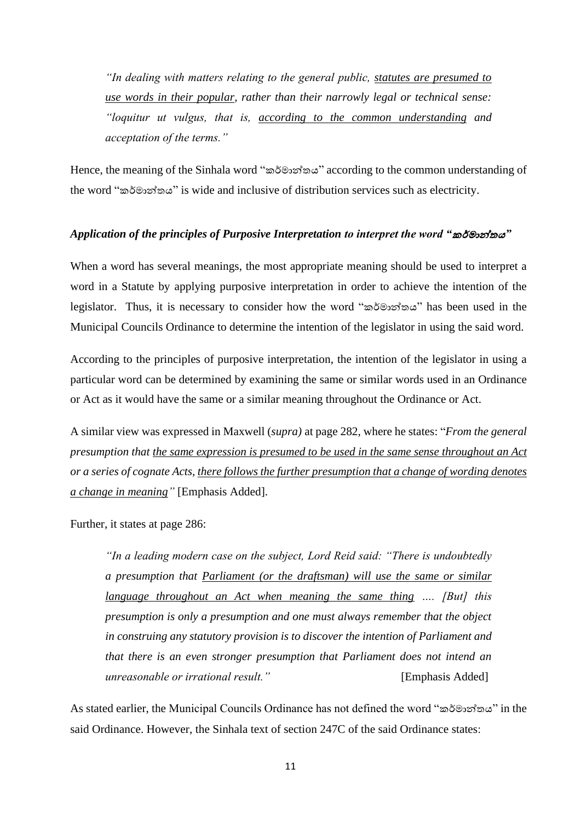*"In dealing with matters relating to the general public, statutes are presumed to use words in their popular, rather than their narrowly legal or technical sense: "loquitur ut vulgus, that is, according to the common understanding and acceptation of the terms."*

Hence, the meaning of the Sinhala word "කර්මාන්තය" according to the common understanding of the word "කර්මාන්තය" is wide and inclusive of distribution services such as electricity.

## *Application of the principles of Purposive Interpretation to interpret the word "*කර්මාන්තය*"*

When a word has several meanings, the most appropriate meaning should be used to interpret a word in a Statute by applying purposive interpretation in order to achieve the intention of the legislator. Thus, it is necessary to consider how the word "කර්මාන්තය" has been used in the Municipal Councils Ordinance to determine the intention of the legislator in using the said word.

According to the principles of purposive interpretation, the intention of the legislator in using a particular word can be determined by examining the same or similar words used in an Ordinance or Act as it would have the same or a similar meaning throughout the Ordinance or Act.

A similar view was expressed in Maxwell (*supra)* at page 282, where he states: "*From the general presumption that the same expression is presumed to be used in the same sense throughout an Act or a series of cognate Acts, there follows the further presumption that a change of wording denotes a change in meaning"* [Emphasis Added].

Further, it states at page 286:

*"In a leading modern case on the subject, Lord Reid said: "There is undoubtedly a presumption that Parliament (or the draftsman) will use the same or similar language throughout an Act when meaning the same thing …. [But] this presumption is only a presumption and one must always remember that the object in construing any statutory provision is to discover the intention of Parliament and that there is an even stronger presumption that Parliament does not intend an unreasonable or irrational result.*" 
[Emphasis Added]

As stated earlier, the Municipal Councils Ordinance has not defined the word "කර්මාන්තය" in the said Ordinance. However, the Sinhala text of section 247C of the said Ordinance states: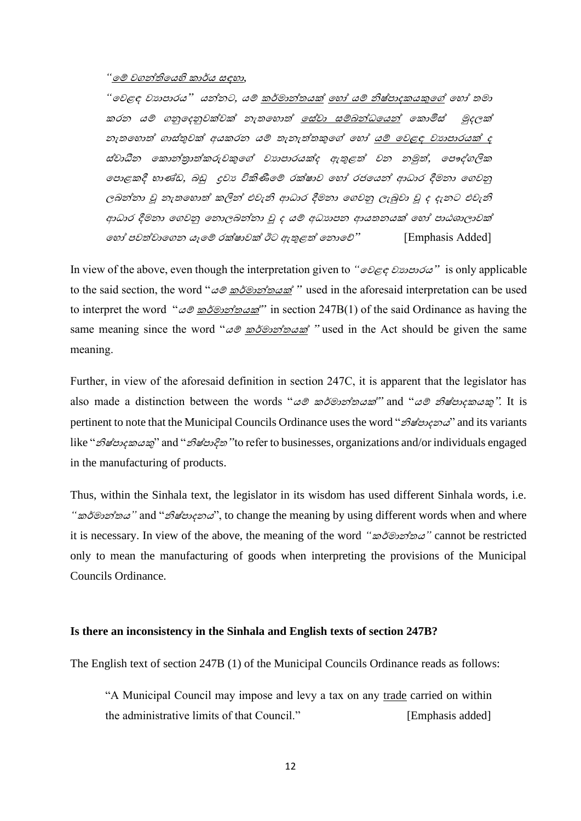#### *"*කම් වෙන්තිකයහි ාර්ය සඳහා*,*

*"*ගවළඳ වයාපාරය" යන්නට, යම් කර්මාන්තයක් ගහෝ යම් නිෂ්පාදකයකුගේ ගහෝ තමා කරන යම් ගනුගදනුවක්වක් නැතගහාත් ගස්වා සම්බන්ධගයන් ගකාමිස් මුදලක් නැතගහාත් ගාස්තුවක් අයකරන යම් තැනැත්තකුගේ ගහෝ යම් ගවළඳ වයාපාරයක් ද ස්වාධීන ගකාන්රාත්කරුවකුගේ වයාපාරයක්ද ඇතුළත් වන නමුත්, ගපෞද්ගලික ගපාළකදී භාණ්ඩ, බඩු ද්රවය විකිණීගම් රක්ෂාව ගහෝ රජගයන් ආධාර දීමනා ගගවනු ලබන්නා වූ නැතගහාත් කලින් එවැනි ආධාර දීමනා ගගවනු ලැබුවා වූ ද දැනට එවැනි ආධාර දීමනා ගගවනු ගනාලබන්නා වූ ද යම් අධයාපන ආයතනයක් ගහෝ පාඨශාලාවක් ගහෝ පවත්වාගගන යෑගම් රක්ෂාවක් ඊට ඇතුළත් ගනාගේ" [Emphasis Added]

In view of the above, even though the interpretation given to *"*ගවළඳ වයාපාරය" is only applicable to the said section, the word " $\omega \mathcal{D} \in \mathcal{D}$ " used in the aforesaid interpretation can be used to interpret the word " $\omega \otimes \frac{\partial \partial \omega}{\partial \omega}$ " in section 247B(1) of the said Ordinance as having the same meaning since the word " $\omega$ <sup>®</sup> <u>කර්මාන්තයක්</u> " used in the Act should be given the same meaning.

Further, in view of the aforesaid definition in section 247C, it is apparent that the legislator has also made a distinction between the words "යම් කර්මාන්තයක්" and "යම් නිෂ්පාදකයකු". It is pertinent to note that the Municipal Councils Ordinance uses the word "*නිෂ්පාදනය*" and its variants like "නිෂ්පාදකයකු" and "නිෂ්පාදිත" to refer to businesses, organizations and/or individuals engaged in the manufacturing of products.

Thus, within the Sinhala text, the legislator in its wisdom has used different Sinhala words, i.e. *"*කර්මාන්තය*"* and "නිෂ්පාදනය", to change the meaning by using different words when and where it is necessary. In view of the above, the meaning of the word *"*කර්මාන්තය*"* cannot be restricted only to mean the manufacturing of goods when interpreting the provisions of the Municipal Councils Ordinance.

#### **Is there an inconsistency in the Sinhala and English texts of section 247B?**

The English text of section 247B (1) of the Municipal Councils Ordinance reads as follows:

"A Municipal Council may impose and levy a tax on any trade carried on within the administrative limits of that Council." [Emphasis added]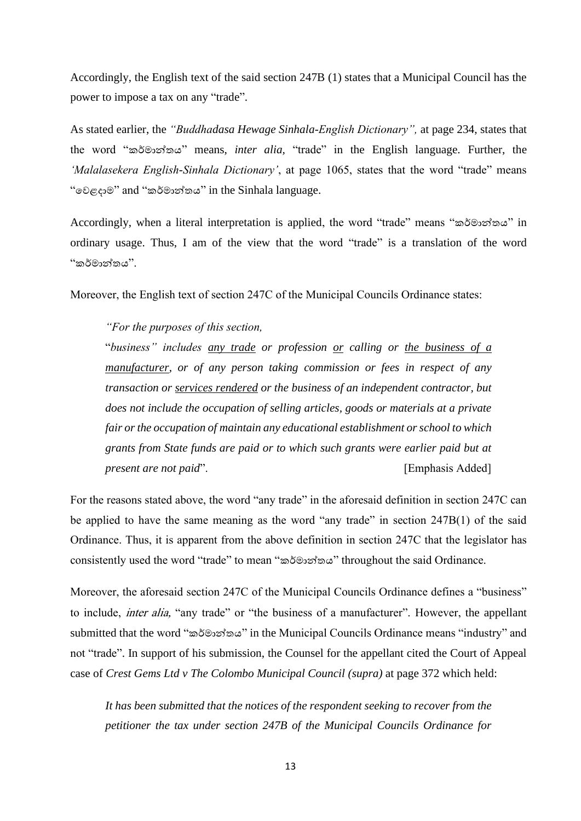Accordingly, the English text of the said section 247B (1) states that a Municipal Council has the power to impose a tax on any "trade".

As stated earlier, the *"Buddhadasa Hewage Sinhala-English Dictionary",* at page 234, states that the word "කර්මාන්තය" means, *inter alia,* "trade" in the English language. Further, the *'Malalasekera English-Sinhala Dictionary'*, at page 1065, states that the word "trade" means "ගවළදාම" and "කර්මාන්තය" in the Sinhala language.

Accordingly, when a literal interpretation is applied, the word "trade" means "කර්මාන්තය" in ordinary usage. Thus, I am of the view that the word "trade" is a translation of the word "කර්මාන්තය".

Moreover, the English text of section 247C of the Municipal Councils Ordinance states:

*"For the purposes of this section,*

"*business" includes any trade or profession or calling or the business of a manufacturer, or of any person taking commission or fees in respect of any transaction or services rendered or the business of an independent contractor, but does not include the occupation of selling articles, goods or materials at a private fair or the occupation of maintain any educational establishment or school to which grants from State funds are paid or to which such grants were earlier paid but at present are not paid*". [Emphasis Added]

For the reasons stated above, the word "any trade" in the aforesaid definition in section 247C can be applied to have the same meaning as the word "any trade" in section 247B(1) of the said Ordinance. Thus, it is apparent from the above definition in section 247C that the legislator has consistently used the word "trade" to mean "කර්මාන්තය" throughout the said Ordinance.

Moreover, the aforesaid section 247C of the Municipal Councils Ordinance defines a "business" to include, inter alia, "any trade" or "the business of a manufacturer". However, the appellant submitted that the word "කර්මාන්තය" in the Municipal Councils Ordinance means "industry" and not "trade". In support of his submission, the Counsel for the appellant cited the Court of Appeal case of *Crest Gems Ltd v The Colombo Municipal Council (supra)* at page 372 which held:

*It has been submitted that the notices of the respondent seeking to recover from the petitioner the tax under section 247B of the Municipal Councils Ordinance for*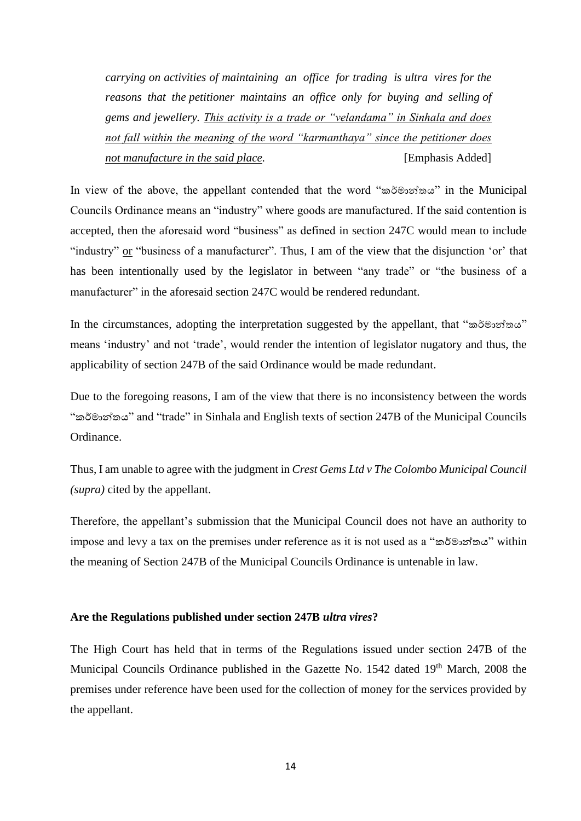*carrying on activities of maintaining an office for trading is ultra vires for the reasons that the petitioner maintains an office only for buying and selling of gems and jewellery. This activity is a trade or "velandama" in Sinhala and does not fall within the meaning of the word "karmanthaya" since the petitioner does not manufacture in the said place.* [Emphasis Added]

In view of the above, the appellant contended that the word "කර්මාන්තය" in the Municipal Councils Ordinance means an "industry" where goods are manufactured. If the said contention is accepted, then the aforesaid word "business" as defined in section 247C would mean to include "industry" or "business of a manufacturer". Thus, I am of the view that the disjunction 'or' that has been intentionally used by the legislator in between "any trade" or "the business of a manufacturer" in the aforesaid section 247C would be rendered redundant.

In the circumstances, adopting the interpretation suggested by the appellant, that "කර්මාන්තය" means 'industry' and not 'trade', would render the intention of legislator nugatory and thus, the applicability of section 247B of the said Ordinance would be made redundant.

Due to the foregoing reasons, I am of the view that there is no inconsistency between the words "කර්මාන්තය" and "trade" in Sinhala and English texts of section 247B of the Municipal Councils Ordinance.

Thus, I am unable to agree with the judgment in *Crest Gems Ltd v The Colombo Municipal Council (supra)* cited by the appellant.

Therefore, the appellant's submission that the Municipal Council does not have an authority to impose and levy a tax on the premises under reference as it is not used as a "කර්මාන්තය" within the meaning of Section 247B of the Municipal Councils Ordinance is untenable in law.

### **Are the Regulations published under section 247B** *ultra vires***?**

The High Court has held that in terms of the Regulations issued under section 247B of the Municipal Councils Ordinance published in the Gazette No. 1542 dated 19<sup>th</sup> March, 2008 the premises under reference have been used for the collection of money for the services provided by the appellant.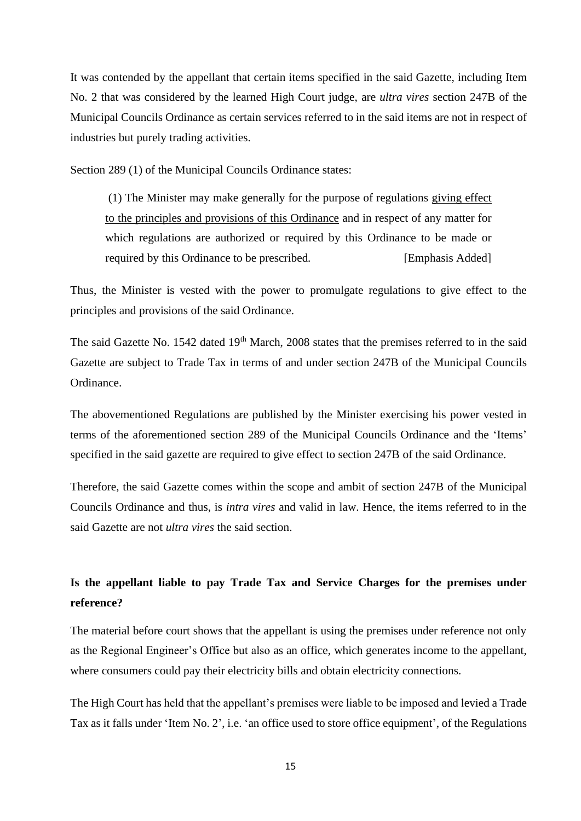It was contended by the appellant that certain items specified in the said Gazette, including Item No. 2 that was considered by the learned High Court judge, are *ultra vires* section 247B of the Municipal Councils Ordinance as certain services referred to in the said items are not in respect of industries but purely trading activities.

Section 289 (1) of the Municipal Councils Ordinance states:

(1) The Minister may make generally for the purpose of regulations giving effect to the principles and provisions of this Ordinance and in respect of any matter for which regulations are authorized or required by this Ordinance to be made or required by this Ordinance to be prescribed*.* [Emphasis Added]

Thus, the Minister is vested with the power to promulgate regulations to give effect to the principles and provisions of the said Ordinance.

The said Gazette No. 1542 dated 19<sup>th</sup> March, 2008 states that the premises referred to in the said Gazette are subject to Trade Tax in terms of and under section 247B of the Municipal Councils Ordinance.

The abovementioned Regulations are published by the Minister exercising his power vested in terms of the aforementioned section 289 of the Municipal Councils Ordinance and the 'Items' specified in the said gazette are required to give effect to section 247B of the said Ordinance.

Therefore, the said Gazette comes within the scope and ambit of section 247B of the Municipal Councils Ordinance and thus, is *intra vires* and valid in law. Hence, the items referred to in the said Gazette are not *ultra vires* the said section.

# **Is the appellant liable to pay Trade Tax and Service Charges for the premises under reference?**

The material before court shows that the appellant is using the premises under reference not only as the Regional Engineer's Office but also as an office, which generates income to the appellant, where consumers could pay their electricity bills and obtain electricity connections.

The High Court has held that the appellant's premises were liable to be imposed and levied a Trade Tax as it falls under 'Item No. 2', i.e. 'an office used to store office equipment', of the Regulations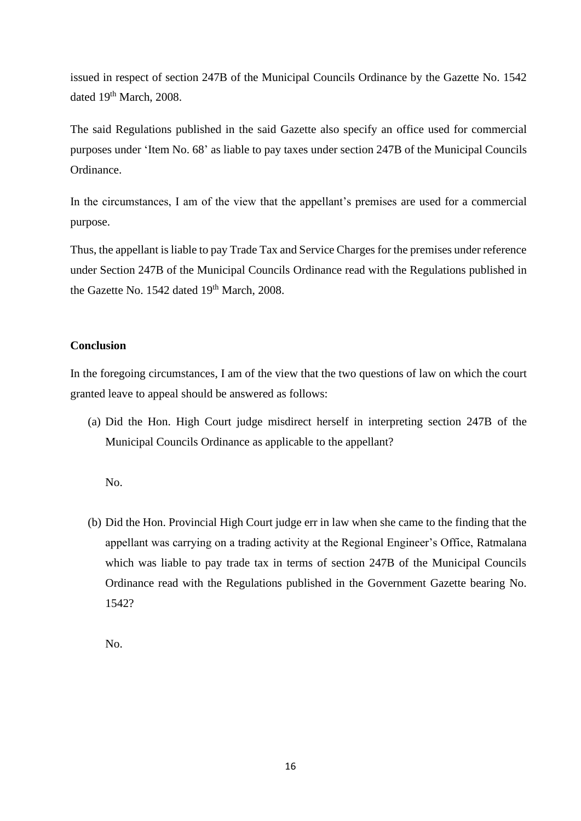issued in respect of section 247B of the Municipal Councils Ordinance by the Gazette No. 1542 dated 19<sup>th</sup> March, 2008.

The said Regulations published in the said Gazette also specify an office used for commercial purposes under 'Item No. 68' as liable to pay taxes under section 247B of the Municipal Councils Ordinance.

In the circumstances, I am of the view that the appellant's premises are used for a commercial purpose.

Thus, the appellant is liable to pay Trade Tax and Service Charges for the premises under reference under Section 247B of the Municipal Councils Ordinance read with the Regulations published in the Gazette No. 1542 dated 19<sup>th</sup> March, 2008.

# **Conclusion**

In the foregoing circumstances, I am of the view that the two questions of law on which the court granted leave to appeal should be answered as follows:

(a) Did the Hon. High Court judge misdirect herself in interpreting section 247B of the Municipal Councils Ordinance as applicable to the appellant?

No.

(b) Did the Hon. Provincial High Court judge err in law when she came to the finding that the appellant was carrying on a trading activity at the Regional Engineer's Office, Ratmalana which was liable to pay trade tax in terms of section 247B of the Municipal Councils Ordinance read with the Regulations published in the Government Gazette bearing No. 1542?

No.